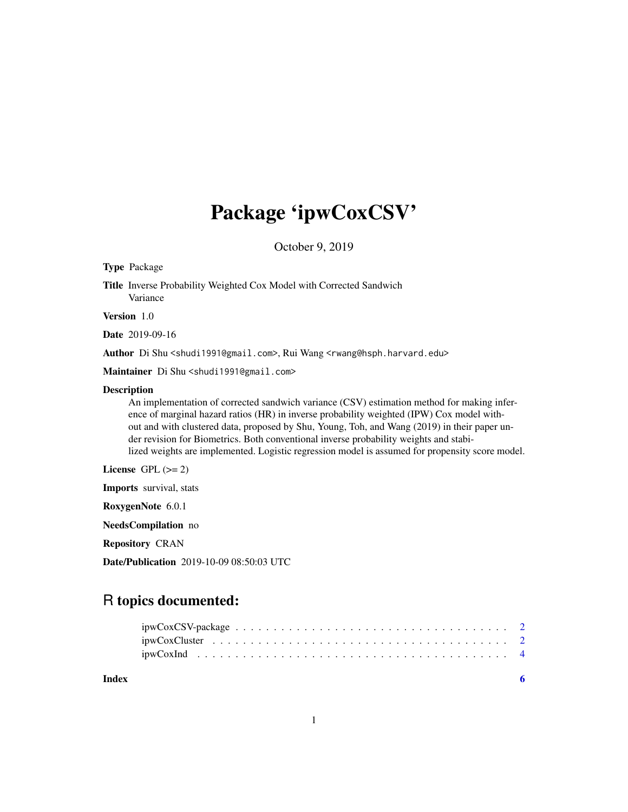## Package 'ipwCoxCSV'

October 9, 2019

#### Type Package

Title Inverse Probability Weighted Cox Model with Corrected Sandwich Variance

Version 1.0

Date 2019-09-16

Author Di Shu <shudi1991@gmail.com>, Rui Wang <rwang@hsph.harvard.edu>

Maintainer Di Shu <shudi1991@gmail.com>

#### Description

An implementation of corrected sandwich variance (CSV) estimation method for making inference of marginal hazard ratios (HR) in inverse probability weighted (IPW) Cox model without and with clustered data, proposed by Shu, Young, Toh, and Wang (2019) in their paper under revision for Biometrics. Both conventional inverse probability weights and stabilized weights are implemented. Logistic regression model is assumed for propensity score model.

License GPL  $(>= 2)$ 

Imports survival, stats

RoxygenNote 6.0.1

NeedsCompilation no

Repository CRAN

Date/Publication 2019-10-09 08:50:03 UTC

### R topics documented:

| Index | - 6 |  |
|-------|-----|--|
|       |     |  |
|       |     |  |
|       |     |  |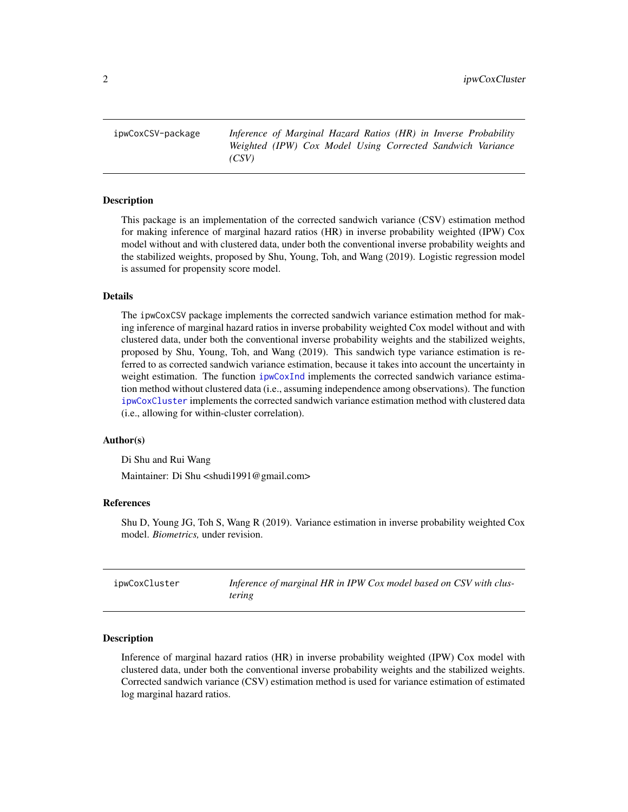<span id="page-1-0"></span>ipwCoxCSV-package *Inference of Marginal Hazard Ratios (HR) in Inverse Probability Weighted (IPW) Cox Model Using Corrected Sandwich Variance (CSV)*

#### Description

This package is an implementation of the corrected sandwich variance (CSV) estimation method for making inference of marginal hazard ratios (HR) in inverse probability weighted (IPW) Cox model without and with clustered data, under both the conventional inverse probability weights and the stabilized weights, proposed by Shu, Young, Toh, and Wang (2019). Logistic regression model is assumed for propensity score model.

#### Details

The ipwCoxCSV package implements the corrected sandwich variance estimation method for making inference of marginal hazard ratios in inverse probability weighted Cox model without and with clustered data, under both the conventional inverse probability weights and the stabilized weights, proposed by Shu, Young, Toh, and Wang (2019). This sandwich type variance estimation is referred to as corrected sandwich variance estimation, because it takes into account the uncertainty in weight estimation. The function [ipwCoxInd](#page-3-1) implements the corrected sandwich variance estimation method without clustered data (i.e., assuming independence among observations). The function [ipwCoxCluster](#page-1-1) implements the corrected sandwich variance estimation method with clustered data (i.e., allowing for within-cluster correlation).

#### Author(s)

Di Shu and Rui Wang

Maintainer: Di Shu <shudi1991@gmail.com>

#### References

Shu D, Young JG, Toh S, Wang R (2019). Variance estimation in inverse probability weighted Cox model. *Biometrics,* under revision.

<span id="page-1-1"></span>

| ipwCoxCluster | Inference of marginal HR in IPW Cox model based on CSV with clus- |
|---------------|-------------------------------------------------------------------|
|               | tering                                                            |

#### Description

Inference of marginal hazard ratios (HR) in inverse probability weighted (IPW) Cox model with clustered data, under both the conventional inverse probability weights and the stabilized weights. Corrected sandwich variance (CSV) estimation method is used for variance estimation of estimated log marginal hazard ratios.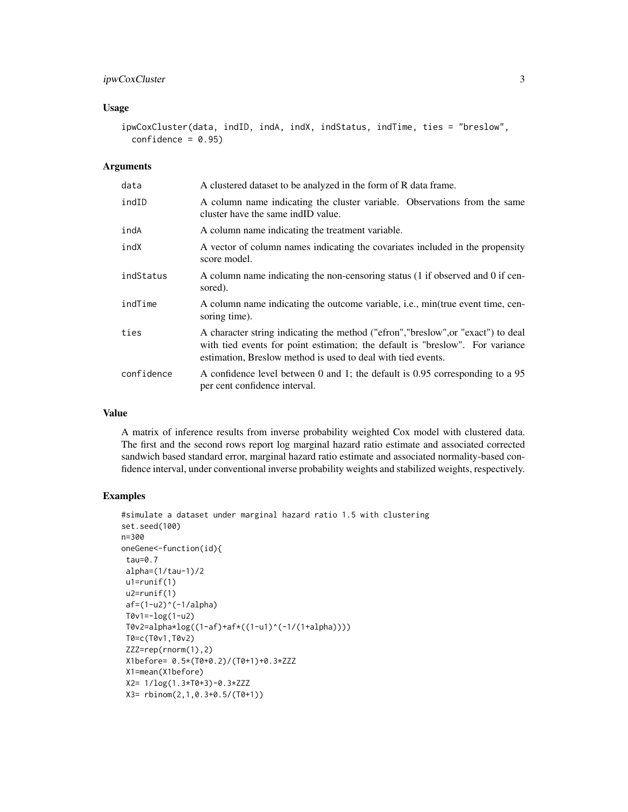#### ipwCoxCluster 3

#### Usage

ipwCoxCluster(data, indID, indA, indX, indStatus, indTime, ties = "breslow",  $confidence = 0.95$ 

#### Arguments

| data       | A clustered dataset to be analyzed in the form of R data frame.                                                                                                                                                                   |
|------------|-----------------------------------------------------------------------------------------------------------------------------------------------------------------------------------------------------------------------------------|
| indID      | A column name indicating the cluster variable. Observations from the same<br>cluster have the same indID value.                                                                                                                   |
| indA       | A column name indicating the treatment variable.                                                                                                                                                                                  |
| indX       | A vector of column names indicating the covariates included in the propensity<br>score model.                                                                                                                                     |
| indStatus  | A column name indicating the non-censoring status (1 if observed and 0 if cen-<br>sored).                                                                                                                                         |
| indTime    | A column name indicating the outcome variable, i.e., min(true event time, cen-<br>soring time).                                                                                                                                   |
| ties       | A character string indicating the method ("efron","breslow", or "exact") to deal<br>with tied events for point estimation; the default is "breslow". For variance<br>estimation, Breslow method is used to deal with tied events. |
| confidence | A confidence level between 0 and 1; the default is 0.95 corresponding to a 95<br>per cent confidence interval.                                                                                                                    |

#### Value

A matrix of inference results from inverse probability weighted Cox model with clustered data. The first and the second rows report log marginal hazard ratio estimate and associated corrected sandwich based standard error, marginal hazard ratio estimate and associated normality-based confidence interval, under conventional inverse probability weights and stabilized weights, respectively.

#### Examples

```
#simulate a dataset under marginal hazard ratio 1.5 with clustering
set.seed(100)
n=300
oneGene<-function(id){
tau=0.7
 alpha=(1/tau-1)/2
u1=runif(1)u2=runif(1)
 af=(1-u2)^*(-1/a1pha)T0v1=-log(1-u2)
 T0v2=alpha*log((1-af)+af*((1-u1)^(-1/(1+alpha))))
 T0=c(T0v1,T0v2)
 ZZZ=rep(rnorm(1),2)
 X1before= 0.5*(T0+0.2)/(T0+1)+0.3*ZZZ
 X1=mean(X1before)
 X2= 1/log(1.3*T0+3)-0.3*ZZZ
 X3= rbinom(2,1,0.3+0.5/(T0+1))
```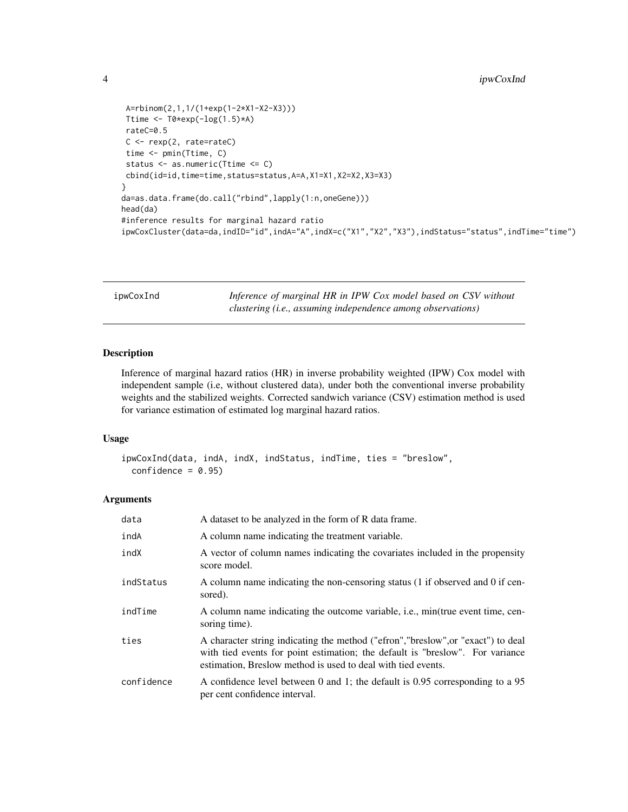```
A=rbinom(2,1,1/(1+exp(1-2*X1-X2-X3)))
Ttime \leq T0*exp(-log(1.5)*A)
rateC=0.5
C <- rexp(2, rate=rateC)
time <- pmin(Ttime, C)
status <- as.numeric(Ttime <= C)
cbind(id=id,time=time,status=status,A=A,X1=X1,X2=X2,X3=X3)
}
da=as.data.frame(do.call("rbind",lapply(1:n,oneGene)))
head(da)
#inference results for marginal hazard ratio
ipwCoxCluster(data=da,indID="id",indA="A",indX=c("X1","X2","X3"),indStatus="status",indTime="time")
```
<span id="page-3-1"></span>

| ipwCoxInd | Inference of marginal HR in IPW Cox model based on CSV without |
|-----------|----------------------------------------------------------------|
|           | clustering (i.e., assuming independence among observations)    |

#### Description

Inference of marginal hazard ratios (HR) in inverse probability weighted (IPW) Cox model with independent sample (i.e, without clustered data), under both the conventional inverse probability weights and the stabilized weights. Corrected sandwich variance (CSV) estimation method is used for variance estimation of estimated log marginal hazard ratios.

#### Usage

```
ipwCoxInd(data, indA, indX, indStatus, indTime, ties = "breslow",
 confidence = 0.95
```
#### Arguments

| data       | A dataset to be analyzed in the form of R data frame.                                                                                                                                                                             |
|------------|-----------------------------------------------------------------------------------------------------------------------------------------------------------------------------------------------------------------------------------|
| indA       | A column name indicating the treatment variable.                                                                                                                                                                                  |
| indX       | A vector of column names indicating the covariates included in the propensity<br>score model.                                                                                                                                     |
| indStatus  | A column name indicating the non-censoring status (1 if observed and 0 if cen-<br>sored).                                                                                                                                         |
| indTime    | A column name indicating the outcome variable, i.e., min(true event time, cen-<br>soring time).                                                                                                                                   |
| ties       | A character string indicating the method ("efron","breslow", or "exact") to deal<br>with tied events for point estimation; the default is "breslow". For variance<br>estimation, Breslow method is used to deal with tied events. |
| confidence | A confidence level between 0 and 1; the default is 0.95 corresponding to a 95<br>per cent confidence interval.                                                                                                                    |

<span id="page-3-0"></span>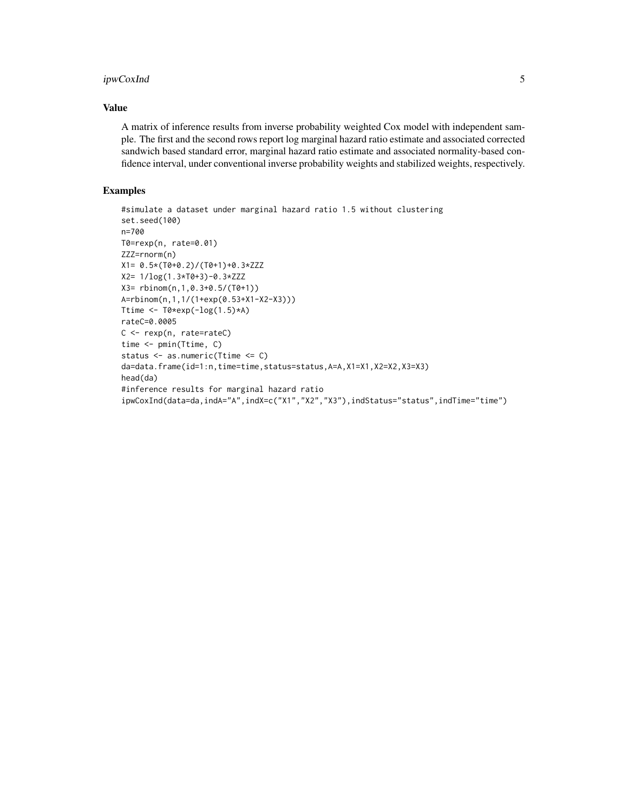#### ipwCoxInd 5

#### Value

A matrix of inference results from inverse probability weighted Cox model with independent sample. The first and the second rows report log marginal hazard ratio estimate and associated corrected sandwich based standard error, marginal hazard ratio estimate and associated normality-based confidence interval, under conventional inverse probability weights and stabilized weights, respectively.

#### Examples

```
#simulate a dataset under marginal hazard ratio 1.5 without clustering
set.seed(100)
n=700
T0=rexp(n, rate=0.01)
ZZZ=rnorm(n)
X1= 0.5*(T0+0.2)/(T0+1)+0.3*ZZZ
X2= 1/log(1.3*T0+3)-0.3*ZZZ
X3= rbinom(n,1,0.3+0.5/(T0+1))
A=rbinom(n,1,1/(1+exp(0.53+X1-X2-X3)))
Ttime \leq T0*exp(-\log(1.5)*A)
rateC=0.0005
C <- rexp(n, rate=rateC)
time <- pmin(Ttime, C)
status <- as.numeric(Ttime <= C)
da=data.frame(id=1:n,time=time,status=status,A=A,X1=X1,X2=X2,X3=X3)
head(da)
#inference results for marginal hazard ratio
ipwCoxInd(data=da,indA="A",indX=c("X1","X2","X3"),indStatus="status",indTime="time")
```